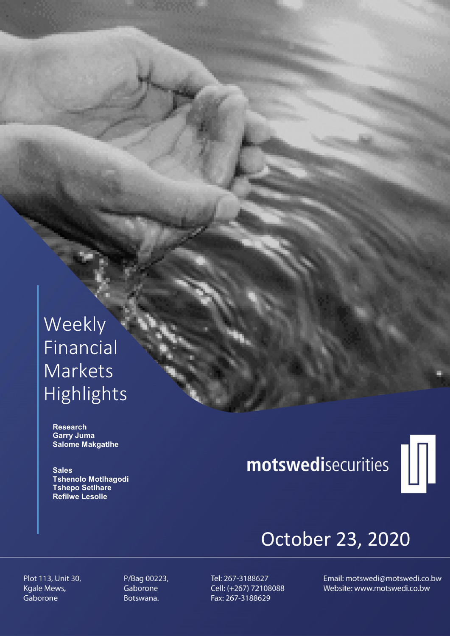## Weekly Financial Markets Highlights

 Research Garry Juma Salome Makgatlhe

**Sales**  Tshenolo Motlhagodi Tshepo Setlhare Refilwe Lesolle

# motswedisecurities



## October 23, 2020

Plot 113, Unit 30, Kgale Mews, Gaborone

P/Bag 00223, Gaborone Botswana.

Tel: 267-3188627 Cell: (+267) 72108088 Fax: 267-3188629

Email: motswedi@motswedi.co.bw Website: www.motswedi.co.bw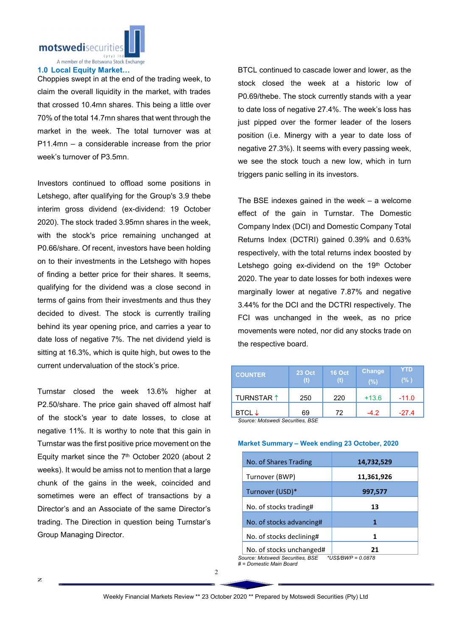

#### 1.0 Local Equity Market…

Choppies swept in at the end of the trading week, to claim the overall liquidity in the market, with trades that crossed 10.4mn shares. This being a little over 70% of the total 14.7mn shares that went through the market in the week. The total turnover was at P11.4mn – a considerable increase from the prior week's turnover of P3.5mn.

Investors continued to offload some positions in Letshego, after qualifying for the Group's 3.9 thebe interim gross dividend (ex-dividend: 19 October 2020). The stock traded 3.95mn shares in the week, with the stock's price remaining unchanged at P0.66/share. Of recent, investors have been holding on to their investments in the Letshego with hopes of finding a better price for their shares. It seems, qualifying for the dividend was a close second in terms of gains from their investments and thus they decided to divest. The stock is currently trailing behind its year opening price, and carries a year to date loss of negative 7%. The net dividend yield is sitting at 16.3%, which is quite high, but owes to the current undervaluation of the stock's price.

Turnstar closed the week 13.6% higher at P2.50/share. The price gain shaved off almost half of the stock's year to date losses, to close at negative 11%. It is worthy to note that this gain in Turnstar was the first positive price movement on the Equity market since the  $7<sup>th</sup>$  October 2020 (about 2 weeks). It would be amiss not to mention that a large chunk of the gains in the week, coincided and sometimes were an effect of transactions by a Director's and an Associate of the same Director's trading. The Direction in question being Turnstar's Group Managing Director.

BTCL continued to cascade lower and lower, as the stock closed the week at a historic low of P0.69/thebe. The stock currently stands with a year to date loss of negative 27.4%. The week's loss has just pipped over the former leader of the losers position (i.e. Minergy with a year to date loss of negative 27.3%). It seems with every passing week, we see the stock touch a new low, which in turn triggers panic selling in its investors.

The BSE indexes gained in the week – a welcome effect of the gain in Turnstar. The Domestic Company Index (DCI) and Domestic Company Total Returns Index (DCTRI) gained 0.39% and 0.63% respectively, with the total returns index boosted by Letshego going ex-dividend on the 19th October 2020. The year to date losses for both indexes were marginally lower at negative 7.87% and negative 3.44% for the DCI and the DCTRI respectively. The FCI was unchanged in the week, as no price movements were noted, nor did any stocks trade on the respective board.

| <b>COUNTER</b>                  | <b>23 Oct</b> | <b>16 Oct</b> | Change<br>$(\%)$ | YTD<br>(% ) |  |  |
|---------------------------------|---------------|---------------|------------------|-------------|--|--|
| TURNSTAR 1                      | 250           | 220           | $+13.6$          | $-11.0$     |  |  |
| BTCL $\downarrow$               | 69            | 72            | $-42$            | $-27.4$     |  |  |
| Source: Motewadi Securities RSE |               |               |                  |             |  |  |

*Source: Motswedi Securities, BSE* 

#### Market Summary – Week ending 23 October, 2020

| No. of Shares Trading    | 14,732,529 |  |
|--------------------------|------------|--|
| Turnover (BWP)           | 11,361,926 |  |
| Turnover (USD)*          | 997,577    |  |
| No. of stocks trading#   | 13         |  |
| No. of stocks advancing# | 1          |  |
| No. of stocks declining# |            |  |
| No. of stocks unchanged# | 71         |  |

*Source: Motswedi Securities, BSE \*US\$/BWP = 0.0878 # = Domestic Main Board*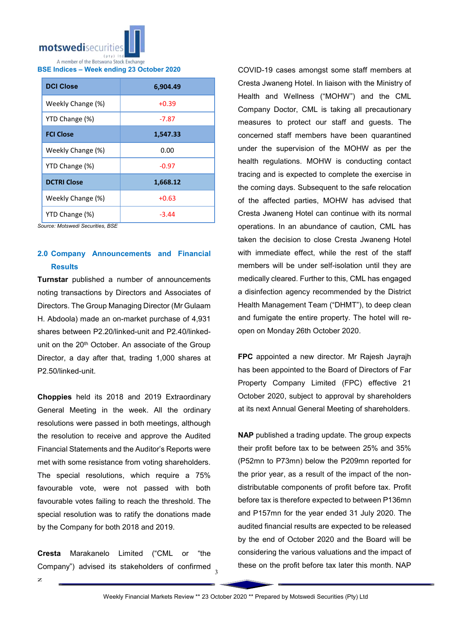

BSE Indices – Week ending 23 October 2020

| <b>DCI Close</b>   | 6,904.49 |  |  |
|--------------------|----------|--|--|
| Weekly Change (%)  | $+0.39$  |  |  |
| YTD Change (%)     | -7.87    |  |  |
| <b>FCI Close</b>   | 1,547.33 |  |  |
| Weekly Change (%)  | 0.00     |  |  |
| YTD Change (%)     | $-0.97$  |  |  |
| <b>DCTRI Close</b> | 1,668.12 |  |  |
| Weekly Change (%)  | $+0.63$  |  |  |
| YTD Change (%)     | -3.44    |  |  |

*Source: Motswedi Securities, BSE*

### 2.0 Company Announcements and Financial **Results**

**Turnstar** published a number of announcements noting transactions by Directors and Associates of Directors. The Group Managing Director (Mr Gulaam H. Abdoola) made an on-market purchase of 4,931 shares between P2.20/linked-unit and P2.40/linkedunit on the 20<sup>th</sup> October. An associate of the Group Director, a day after that, trading 1,000 shares at P2.50/linked-unit.

Choppies held its 2018 and 2019 Extraordinary General Meeting in the week. All the ordinary resolutions were passed in both meetings, although the resolution to receive and approve the Audited Financial Statements and the Auditor's Reports were met with some resistance from voting shareholders. The special resolutions, which require a 75% favourable vote, were not passed with both favourable votes failing to reach the threshold. The special resolution was to ratify the donations made by the Company for both 2018 and 2019.

Company") advised its stakeholders of confirmed  $\frac{3}{3}$ Cresta Marakanelo Limited ("CML or "the

COVID-19 cases amongst some staff members at Cresta Jwaneng Hotel. In liaison with the Ministry of Health and Wellness ("MOHW") and the CML Company Doctor, CML is taking all precautionary measures to protect our staff and guests. The concerned staff members have been quarantined under the supervision of the MOHW as per the health regulations. MOHW is conducting contact tracing and is expected to complete the exercise in the coming days. Subsequent to the safe relocation of the affected parties, MOHW has advised that Cresta Jwaneng Hotel can continue with its normal operations. In an abundance of caution, CML has taken the decision to close Cresta Jwaneng Hotel with immediate effect, while the rest of the staff members will be under self-isolation until they are medically cleared. Further to this, CML has engaged a disinfection agency recommended by the District Health Management Team ("DHMT"), to deep clean and fumigate the entire property. The hotel will reopen on Monday 26th October 2020.

FPC appointed a new director. Mr Rajesh Jayrajh has been appointed to the Board of Directors of Far Property Company Limited (FPC) effective 21 October 2020, subject to approval by shareholders at its next Annual General Meeting of shareholders.

NAP published a trading update. The group expects their profit before tax to be between 25% and 35% (P52mn to P73mn) below the P209mn reported for the prior year, as a result of the impact of the nondistributable components of profit before tax. Profit before tax is therefore expected to between P136mn and P157mn for the year ended 31 July 2020. The audited financial results are expected to be released by the end of October 2020 and the Board will be considering the various valuations and the impact of these on the profit before tax later this month. NAP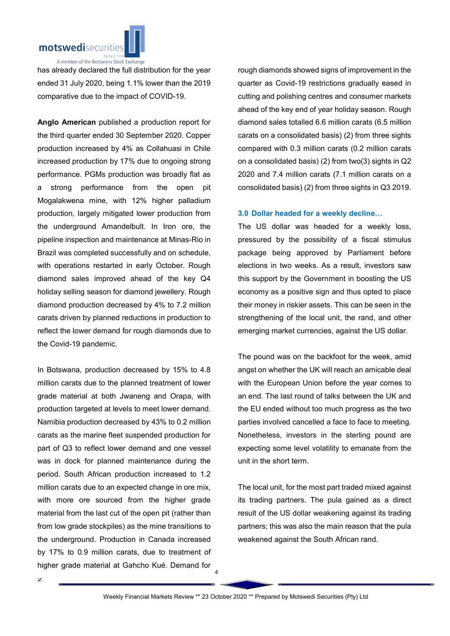

has already declared the full distribution for the year ended 31 July 2020, being 1.1% lower than the 2019 comparative due to the impact of COVID-19.

Anglo American published a production report for the third quarter ended 30 September 2020. Copper production increased by 4% as Collahuasi in Chile increased production by 17% due to ongoing strong performance. PGMs production was broadly flat as a strong performance from the open pit Mogalakwena mine, with 12% higher palladium production, largely mitigated lower production from the underground Amandelbult. In Iron ore, the pipeline inspection and maintenance at Minas-Rio in Brazil was completed successfully and on schedule, with operations restarted in early October. Rough diamond sales improved ahead of the key Q4 holiday selling season for diamond jewellery. Rough diamond production decreased by 4% to 7.2 million carats driven by planned reductions in production to reflect the lower demand for rough diamonds due to the Covid-19 pandemic.

In Botswana, production decreased by 15% to 4.8 million carats due to the planned treatment of lower grade material at both Jwaneng and Orapa, with production targeted at levels to meet lower demand. Namibia production decreased by 43% to 0.2 million carats as the marine fleet suspended production for part of Q3 to reflect lower demand and one vessel was in dock for planned maintenance during the period. South African production increased to 1.2 million carats due to an expected change in ore mix, with more ore sourced from the higher grade material from the last cut of the open pit (rather than from low grade stockpiles) as the mine transitions to the underground. Production in Canada increased by 17% to 0.9 million carats, due to treatment of higher grade material at Gahcho Kué. Demand for

rough diamonds showed signs of improvement in the quarter as Covid-19 restrictions gradually eased in cutting and polishing centres and consumer markets ahead of the key end of year holiday season. Rough diamond sales totalled 6.6 million carats (6.5 million carats on a consolidated basis) (2) from three sights compared with 0.3 million carats (0.2 million carats on a consolidated basis) (2) from two(3) sights in Q2 2020 and 7.4 million carats (7.1 million carats on a consolidated basis) (2) from three sights in Q3 2019.

#### 3.0 Dollar headed for a weekly decline…

The US dollar was headed for a weekly loss, pressured by the possibility of a fiscal stimulus package being approved by Parliament before elections in two weeks. As a result, investors saw this support by the Government in boosting the US economy as a positive sign and thus opted to place their money in riskier assets. This can be seen in the strengthening of the local unit, the rand, and other emerging market currencies, against the US dollar.

The pound was on the backfoot for the week, amid angst on whether the UK will reach an amicable deal with the European Union before the year comes to an end. The last round of talks between the UK and the EU ended without too much progress as the two parties involved cancelled a face to face to meeting. Nonetheless, investors in the sterling pound are expecting some level volatility to emanate from the unit in the short term.

The local unit, for the most part traded mixed against its trading partners. The pula gained as a direct result of the US dollar weakening against its trading partners; this was also the main reason that the pula weakened against the South African rand.

4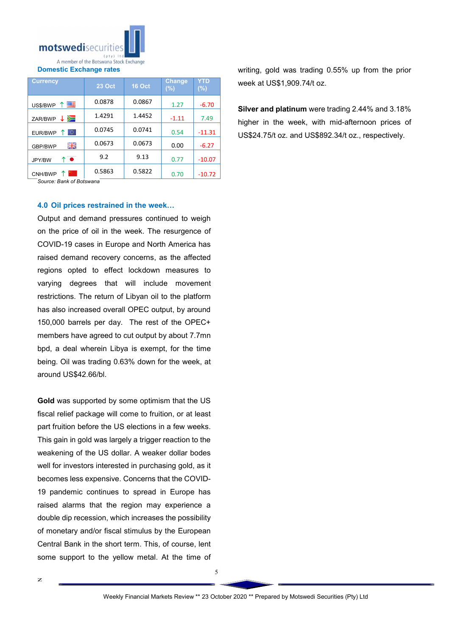

Domestic Exchange rates

| <b>Currency</b> | <b>23 Oct</b> | <b>16 Oct</b> | <b>Change</b><br>(%) | YTD<br>$(\%)$ |
|-----------------|---------------|---------------|----------------------|---------------|
| ↑■<br>US\$/BWP  | 0.0878        | 0.0867        | 1.27                 | $-6.70$       |
| ↓ ⋗≡<br>ZAR/BWP | 1.4291        | 1.4452        | $-1.11$              | 7.49          |
| lo.<br>EUR/BWP  | 0.0745        | 0.0741        | 0.54                 | $-11.31$      |
| 꾉똟<br>GBP/BWP   | 0.0673        | 0.0673        | 0.00                 | $-6.27$       |
| ↑●<br>JPY/BW    | 9.2           | 9.13          | 0.77                 | $-10.07$      |
| CNH/BWP         | 0.5863        | 0.5822        | 0.70                 | $-10.72$      |

*Source: Bank of Botswana*

#### 4.0 Oil prices restrained in the week…

Output and demand pressures continued to weigh on the price of oil in the week. The resurgence of COVID-19 cases in Europe and North America has raised demand recovery concerns, as the affected regions opted to effect lockdown measures to varying degrees that will include movement restrictions. The return of Libyan oil to the platform has also increased overall OPEC output, by around 150,000 barrels per day. The rest of the OPEC+ members have agreed to cut output by about 7.7mn bpd, a deal wherein Libya is exempt, for the time being. Oil was trading 0.63% down for the week, at around US\$42.66/bl.

Gold was supported by some optimism that the US fiscal relief package will come to fruition, or at least part fruition before the US elections in a few weeks. This gain in gold was largely a trigger reaction to the weakening of the US dollar. A weaker dollar bodes well for investors interested in purchasing gold, as it becomes less expensive. Concerns that the COVID-19 pandemic continues to spread in Europe has raised alarms that the region may experience a double dip recession, which increases the possibility of monetary and/or fiscal stimulus by the European Central Bank in the short term. This, of course, lent some support to the yellow metal. At the time of

writing, gold was trading 0.55% up from the prior week at US\$1,909.74/t oz.

Silver and platinum were trading 2.44% and 3.18% higher in the week, with mid-afternoon prices of US\$24.75/t oz. and US\$892.34/t oz., respectively.